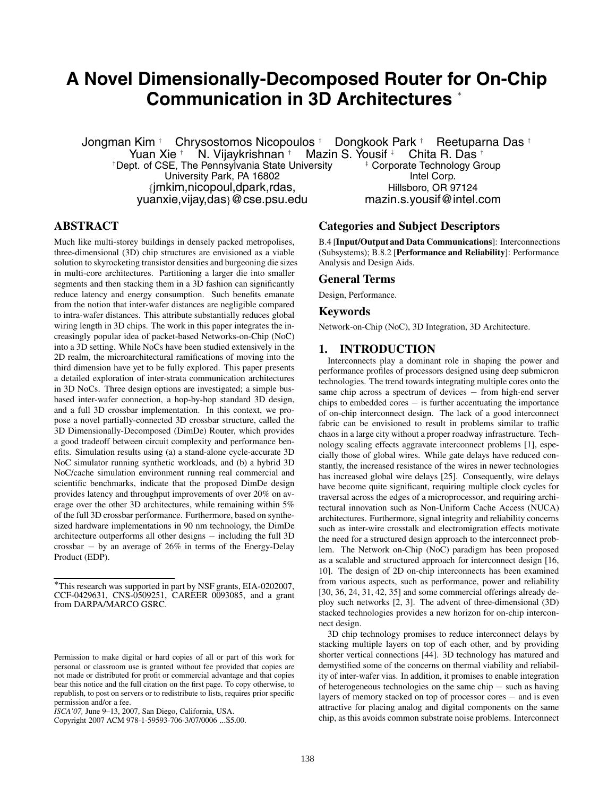# **A Novel Dimensionally-Decomposed Router for On-Chip Communication in 3D Architectures** <sup>∗</sup>

Jongman Kim † Chrysostomos Nicopoulos † Dongkook Park † Reetuparna Das † N. Vijaykrishnan † Mazin S. Yousif ‡ Chita R. Das †<br>} Pennsylvania State University ‡ Corporate Technology Group <sup>†</sup>Dept. of CSE, The Pennsylvania State University University Park, PA 16802 Intel Corp. {imkim,nicopoul,dpark,rdas, https://www.hillsboro, OR 97124 yuanxie,vijay,das}@cse.psu.edu mazin.s.yousif@intel.com

## **ABSTRACT**

Much like multi-storey buildings in densely packed metropolises, three-dimensional (3D) chip structures are envisioned as a viable solution to skyrocketing transistor densities and burgeoning die sizes in multi-core architectures. Partitioning a larger die into smaller segments and then stacking them in a 3D fashion can significantly reduce latency and energy consumption. Such benefits emanate from the notion that inter-wafer distances are negligible compared to intra-wafer distances. This attribute substantially reduces global wiring length in 3D chips. The work in this paper integrates the increasingly popular idea of packet-based Networks-on-Chip (NoC) into a 3D setting. While NoCs have been studied extensively in the 2D realm, the microarchitectural ramifications of moving into the third dimension have yet to be fully explored. This paper presents a detailed exploration of inter-strata communication architectures in 3D NoCs. Three design options are investigated; a simple busbased inter-wafer connection, a hop-by-hop standard 3D design, and a full 3D crossbar implementation. In this context, we propose a novel partially-connected 3D crossbar structure, called the 3D Dimensionally-Decomposed (DimDe) Router, which provides a good tradeoff between circuit complexity and performance benefits. Simulation results using (a) a stand-alone cycle-accurate 3D NoC simulator running synthetic workloads, and (b) a hybrid 3D NoC/cache simulation environment running real commercial and scientific benchmarks, indicate that the proposed DimDe design provides latency and throughput improvements of over 20% on average over the other 3D architectures, while remaining within 5% of the full 3D crossbar performance. Furthermore, based on synthesized hardware implementations in 90 nm technology, the DimDe architecture outperforms all other designs − including the full 3D crossbar − by an average of 26% in terms of the Energy-Delay Product (EDP).

## **Categories and Subject Descriptors**

B.4 [**Input/Output and Data Communications**]: Interconnections (Subsystems); B.8.2 [**Performance and Reliability**]: Performance Analysis and Design Aids.

#### **General Terms**

Design, Performance.

#### **Keywords**

Network-on-Chip (NoC), 3D Integration, 3D Architecture.

#### **1. INTRODUCTION**

Interconnects play a dominant role in shaping the power and performance profiles of processors designed using deep submicron technologies. The trend towards integrating multiple cores onto the same chip across a spectrum of devices – from high-end server chips to embedded cores − is further accentuating the importance of on-chip interconnect design. The lack of a good interconnect fabric can be envisioned to result in problems similar to traffic chaos in a large city without a proper roadway infrastructure. Technology scaling effects aggravate interconnect problems [1], especially those of global wires. While gate delays have reduced constantly, the increased resistance of the wires in newer technologies has increased global wire delays [25]. Consequently, wire delays have become quite significant, requiring multiple clock cycles for traversal across the edges of a microprocessor, and requiring architectural innovation such as Non-Uniform Cache Access (NUCA) architectures. Furthermore, signal integrity and reliability concerns such as inter-wire crosstalk and electromigration effects motivate the need for a structured design approach to the interconnect problem. The Network on-Chip (NoC) paradigm has been proposed as a scalable and structured approach for interconnect design [16, 10]. The design of 2D on-chip interconnects has been examined from various aspects, such as performance, power and reliability [30, 36, 24, 31, 42, 35] and some commercial offerings already deploy such networks [2, 3]. The advent of three-dimensional (3D) stacked technologies provides a new horizon for on-chip interconnect design.

3D chip technology promises to reduce interconnect delays by stacking multiple layers on top of each other, and by providing shorter vertical connections [44]. 3D technology has matured and demystified some of the concerns on thermal viability and reliability of inter-wafer vias. In addition, it promises to enable integration of heterogeneous technologies on the same chip − such as having layers of memory stacked on top of processor cores − and is even attractive for placing analog and digital components on the same chip, as this avoids common substrate noise problems. Interconnect

<sup>∗</sup>This research was supported in part by NSF grants, EIA-0202007, CCF-0429631, CNS-0509251, CAREER 0093085, and a grant from DARPA/MARCO GSRC.

Permission to make digital or hard copies of all or part of this work for personal or classroom use is granted without fee provided that copies are not made or distributed for profit or commercial advantage and that copies bear this notice and the full citation on the first page. To copy otherwise, to republish, to post on servers or to redistribute to lists, requires prior specific permission and/or a fee.

*ISCA'07,* June 9–13, 2007, San Diego, California, USA.

Copyright 2007 ACM 978-1-59593-706-3/07/0006 ...\$5.00.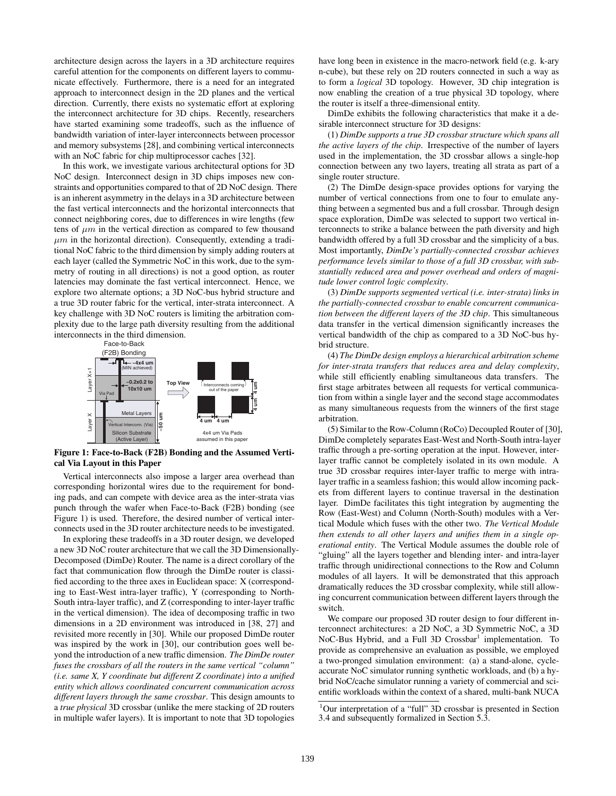architecture design across the layers in a 3D architecture requires careful attention for the components on different layers to communicate effectively. Furthermore, there is a need for an integrated approach to interconnect design in the 2D planes and the vertical direction. Currently, there exists no systematic effort at exploring the interconnect architecture for 3D chips. Recently, researchers have started examining some tradeoffs, such as the influence of bandwidth variation of inter-layer interconnects between processor and memory subsystems [28], and combining vertical interconnects with an NoC fabric for chip multiprocessor caches [32].

In this work, we investigate various architectural options for 3D NoC design. Interconnect design in 3D chips imposes new constraints and opportunities compared to that of 2D NoC design. There is an inherent asymmetry in the delays in a 3D architecture between the fast vertical interconnects and the horizontal interconnects that connect neighboring cores, due to differences in wire lengths (few tens of  $\mu$ m in the vertical direction as compared to few thousand  $\mu$ m in the horizontal direction). Consequently, extending a traditional NoC fabric to the third dimension by simply adding routers at each layer (called the Symmetric NoC in this work, due to the symmetry of routing in all directions) is not a good option, as router latencies may dominate the fast vertical interconnect. Hence, we explore two alternate options; a 3D NoC-bus hybrid structure and a true 3D router fabric for the vertical, inter-strata interconnect. A key challenge with 3D NoC routers is limiting the arbitration complexity due to the large path diversity resulting from the additional interconnects in the third dimension.



**Figure 1: Face-to-Back (F2B) Bonding and the Assumed Vertical Via Layout in this Paper**

Vertical interconnects also impose a larger area overhead than corresponding horizontal wires due to the requirement for bonding pads, and can compete with device area as the inter-strata vias punch through the wafer when Face-to-Back (F2B) bonding (see Figure 1) is used. Therefore, the desired number of vertical interconnects used in the 3D router architecture needs to be investigated.

In exploring these tradeoffs in a 3D router design, we developed a new 3D NoC router architecture that we call the 3D Dimensionally-Decomposed (DimDe) Router. The name is a direct corollary of the fact that communication flow through the DimDe router is classified according to the three axes in Euclidean space: X (corresponding to East-West intra-layer traffic), Y (corresponding to North-South intra-layer traffic), and Z (corresponding to inter-layer traffic in the vertical dimension). The idea of decomposing traffic in two dimensions in a 2D environment was introduced in [38, 27] and revisited more recently in [30]. While our proposed DimDe router was inspired by the work in [30], our contribution goes well beyond the introduction of a new traffic dimension. *The DimDe router fuses the crossbars of all the routers in the same vertical "column" (i.e. same X, Y coordinate but different Z coordinate) into a unified entity which allows coordinated concurrent communication across different layers through the same crossbar*. This design amounts to a *true physical* 3D crossbar (unlike the mere stacking of 2D routers in multiple wafer layers). It is important to note that 3D topologies

have long been in existence in the macro-network field (e.g. k-ary n-cube), but these rely on 2D routers connected in such a way as to form a *logical* 3D topology. However, 3D chip integration is now enabling the creation of a true physical 3D topology, where the router is itself a three-dimensional entity.

DimDe exhibits the following characteristics that make it a desirable interconnect structure for 3D designs:

(1) *DimDe supports a true 3D crossbar structure which spans all the active layers of the chip*. Irrespective of the number of layers used in the implementation, the 3D crossbar allows a single-hop connection between any two layers, treating all strata as part of a single router structure.

(2) The DimDe design-space provides options for varying the number of vertical connections from one to four to emulate anything between a segmented bus and a full crossbar. Through design space exploration, DimDe was selected to support two vertical interconnects to strike a balance between the path diversity and high bandwidth offered by a full 3D crossbar and the simplicity of a bus. Most importantly, *DimDe's partially-connected crossbar achieves performance levels similar to those of a full 3D crossbar, with substantially reduced area and power overhead and orders of magnitude lower control logic complexity*.

(3) *DimDe supports segmented vertical (i.e. inter-strata) links in the partially-connected crossbar to enable concurrent communication between the different layers of the 3D chip*. This simultaneous data transfer in the vertical dimension significantly increases the vertical bandwidth of the chip as compared to a 3D NoC-bus hybrid structure.

(4) *The DimDe design employs a hierarchical arbitration scheme for inter-strata transfers that reduces area and delay complexity*, while still efficiently enabling simultaneous data transfers. The first stage arbitrates between all requests for vertical communication from within a single layer and the second stage accommodates as many simultaneous requests from the winners of the first stage arbitration.

(5) Similar to the Row-Column (RoCo) Decoupled Router of [30], DimDe completely separates East-West and North-South intra-layer traffic through a pre-sorting operation at the input. However, interlayer traffic cannot be completely isolated in its own module. A true 3D crossbar requires inter-layer traffic to merge with intralayer traffic in a seamless fashion; this would allow incoming packets from different layers to continue traversal in the destination layer. DimDe facilitates this tight integration by augmenting the Row (East-West) and Column (North-South) modules with a Vertical Module which fuses with the other two. *The Vertical Module then extends to all other layers and unifies them in a single operational entity*. The Vertical Module assumes the double role of "gluing" all the layers together and blending inter- and intra-layer traffic through unidirectional connections to the Row and Column modules of all layers. It will be demonstrated that this approach dramatically reduces the 3D crossbar complexity, while still allowing concurrent communication between different layers through the switch.

We compare our proposed 3D router design to four different interconnect architectures: a 2D NoC, a 3D Symmetric NoC, a 3D NoC-Bus Hybrid, and a Full 3D Crossbar<sup>1</sup> implementation. To provide as comprehensive an evaluation as possible, we employed a two-pronged simulation environment: (a) a stand-alone, cycleaccurate NoC simulator running synthetic workloads, and (b) a hybrid NoC/cache simulator running a variety of commercial and scientific workloads within the context of a shared, multi-bank NUCA

<sup>&</sup>lt;sup>1</sup>Our interpretation of a "full" 3D crossbar is presented in Section 3.4 and subsequently formalized in Section 5.3.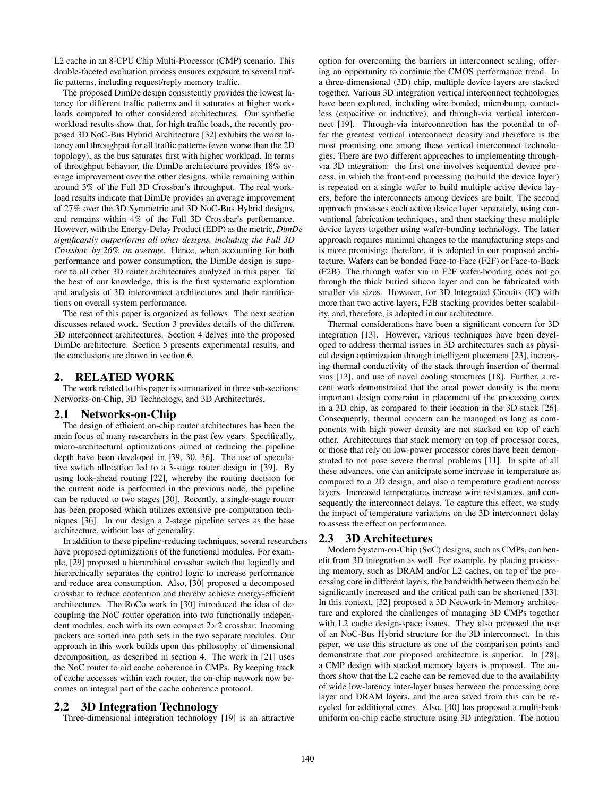L2 cache in an 8-CPU Chip Multi-Processor (CMP) scenario. This double-faceted evaluation process ensures exposure to several traffic patterns, including request/reply memory traffic.

The proposed DimDe design consistently provides the lowest latency for different traffic patterns and it saturates at higher workloads compared to other considered architectures. Our synthetic workload results show that, for high traffic loads, the recently proposed 3D NoC-Bus Hybrid Architecture [32] exhibits the worst latency and throughput for all traffic patterns (even worse than the 2D topology), as the bus saturates first with higher workload. In terms of throughput behavior, the DimDe architecture provides 18% average improvement over the other designs, while remaining within around 3% of the Full 3D Crossbar's throughput. The real workload results indicate that DimDe provides an average improvement of 27% over the 3D Symmetric and 3D NoC-Bus Hybrid designs, and remains within 4% of the Full 3D Crossbar's performance. However, with the Energy-Delay Product (EDP) as the metric, *DimDe significantly outperforms all other designs, including the Full 3D Crossbar, by 26% on average*. Hence, when accounting for both performance and power consumption, the DimDe design is superior to all other 3D router architectures analyzed in this paper. To the best of our knowledge, this is the first systematic exploration and analysis of 3D interconnect architectures and their ramifications on overall system performance.

The rest of this paper is organized as follows. The next section discusses related work. Section 3 provides details of the different 3D interconnect architectures. Section 4 delves into the proposed DimDe architecture. Section 5 presents experimental results, and the conclusions are drawn in section 6.

## **2. RELATED WORK**

The work related to this paper is summarized in three sub-sections: Networks-on-Chip, 3D Technology, and 3D Architectures.

## **2.1 Networks-on-Chip**

The design of efficient on-chip router architectures has been the main focus of many researchers in the past few years. Specifically, micro-architectural optimizations aimed at reducing the pipeline depth have been developed in [39, 30, 36]. The use of speculative switch allocation led to a 3-stage router design in [39]. By using look-ahead routing [22], whereby the routing decision for the current node is performed in the previous node, the pipeline can be reduced to two stages [30]. Recently, a single-stage router has been proposed which utilizes extensive pre-computation techniques [36]. In our design a 2-stage pipeline serves as the base architecture, without loss of generality.

In addition to these pipeline-reducing techniques, several researchers have proposed optimizations of the functional modules. For example, [29] proposed a hierarchical crossbar switch that logically and hierarchically separates the control logic to increase performance and reduce area consumption. Also, [30] proposed a decomposed crossbar to reduce contention and thereby achieve energy-efficient architectures. The RoCo work in [30] introduced the idea of decoupling the NoC router operation into two functionally independent modules, each with its own compact  $2\times 2$  crossbar. Incoming packets are sorted into path sets in the two separate modules. Our approach in this work builds upon this philosophy of dimensional decomposition, as described in section 4. The work in [21] uses the NoC router to aid cache coherence in CMPs. By keeping track of cache accesses within each router, the on-chip network now becomes an integral part of the cache coherence protocol.

## **2.2 3D Integration Technology**

Three-dimensional integration technology [19] is an attractive

option for overcoming the barriers in interconnect scaling, offering an opportunity to continue the CMOS performance trend. In a three-dimensional (3D) chip, multiple device layers are stacked together. Various 3D integration vertical interconnect technologies have been explored, including wire bonded, microbump, contactless (capacitive or inductive), and through-via vertical interconnect [19]. Through-via interconnection has the potential to offer the greatest vertical interconnect density and therefore is the most promising one among these vertical interconnect technologies. There are two different approaches to implementing throughvia 3D integration: the first one involves sequential device process, in which the front-end processing (to build the device layer) is repeated on a single wafer to build multiple active device layers, before the interconnects among devices are built. The second approach processes each active device layer separately, using conventional fabrication techniques, and then stacking these multiple device layers together using wafer-bonding technology. The latter approach requires minimal changes to the manufacturing steps and is more promising; therefore, it is adopted in our proposed architecture. Wafers can be bonded Face-to-Face (F2F) or Face-to-Back (F2B). The through wafer via in F2F wafer-bonding does not go through the thick buried silicon layer and can be fabricated with smaller via sizes. However, for 3D Integrated Circuits (IC) with more than two active layers, F2B stacking provides better scalability, and, therefore, is adopted in our architecture.

Thermal considerations have been a significant concern for 3D integration [13]. However, various techniques have been developed to address thermal issues in 3D architectures such as physical design optimization through intelligent placement [23], increasing thermal conductivity of the stack through insertion of thermal vias [13], and use of novel cooling structures [18]. Further, a recent work demonstrated that the areal power density is the more important design constraint in placement of the processing cores in a 3D chip, as compared to their location in the 3D stack [26]. Consequently, thermal concern can be managed as long as components with high power density are not stacked on top of each other. Architectures that stack memory on top of processor cores, or those that rely on low-power processor cores have been demonstrated to not pose severe thermal problems [11]. In spite of all these advances, one can anticipate some increase in temperature as compared to a 2D design, and also a temperature gradient across layers. Increased temperatures increase wire resistances, and consequently the interconnect delays. To capture this effect, we study the impact of temperature variations on the 3D interconnect delay to assess the effect on performance.

## **2.3 3D Architectures**

Modern System-on-Chip (SoC) designs, such as CMPs, can benefit from 3D integration as well. For example, by placing processing memory, such as DRAM and/or L2 caches, on top of the processing core in different layers, the bandwidth between them can be significantly increased and the critical path can be shortened [33]. In this context, [32] proposed a 3D Network-in-Memory architecture and explored the challenges of managing 3D CMPs together with L2 cache design-space issues. They also proposed the use of an NoC-Bus Hybrid structure for the 3D interconnect. In this paper, we use this structure as one of the comparison points and demonstrate that our proposed architecture is superior. In [28], a CMP design with stacked memory layers is proposed. The authors show that the L2 cache can be removed due to the availability of wide low-latency inter-layer buses between the processing core layer and DRAM layers, and the area saved from this can be recycled for additional cores. Also, [40] has proposed a multi-bank uniform on-chip cache structure using 3D integration. The notion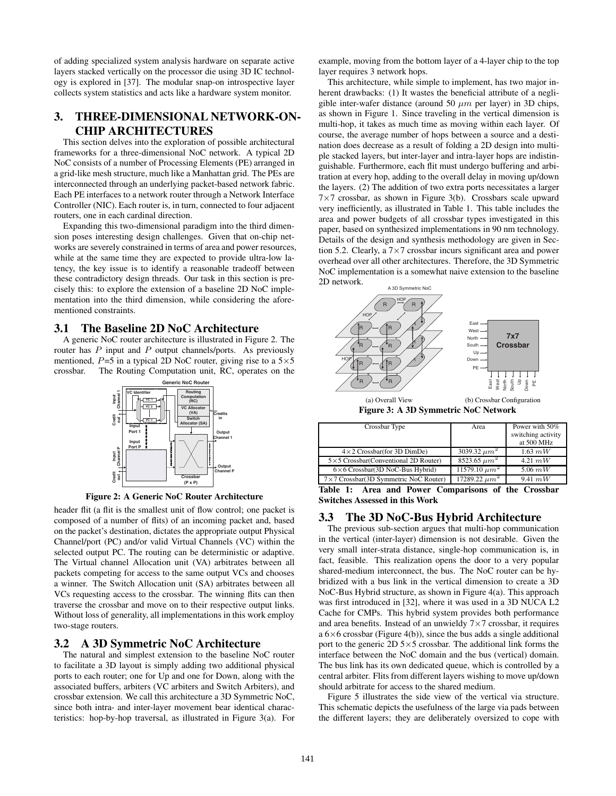of adding specialized system analysis hardware on separate active layers stacked vertically on the processor die using 3D IC technology is explored in [37]. The modular snap-on introspective layer collects system statistics and acts like a hardware system monitor.

## **3. THREE-DIMENSIONAL NETWORK-ON-CHIP ARCHITECTURES**

This section delves into the exploration of possible architectural frameworks for a three-dimensional NoC network. A typical 2D NoC consists of a number of Processing Elements (PE) arranged in a grid-like mesh structure, much like a Manhattan grid. The PEs are interconnected through an underlying packet-based network fabric. Each PE interfaces to a network router through a Network Interface Controller (NIC). Each router is, in turn, connected to four adjacent routers, one in each cardinal direction.

Expanding this two-dimensional paradigm into the third dimension poses interesting design challenges. Given that on-chip networks are severely constrained in terms of area and power resources, while at the same time they are expected to provide ultra-low latency, the key issue is to identify a reasonable tradeoff between these contradictory design threads. Our task in this section is precisely this: to explore the extension of a baseline 2D NoC implementation into the third dimension, while considering the aforementioned constraints.

## **3.1 The Baseline 2D NoC Architecture**

A generic NoC router architecture is illustrated in Figure 2. The router has *P* input and *P* output channels/ports. As previously mentioned,  $P=5$  in a typical 2D NoC router, giving rise to a  $5\times5$ crossbar. The Routing Computation unit, RC, operates on the



**Figure 2: A Generic NoC Router Architecture**

header flit (a flit is the smallest unit of flow control; one packet is composed of a number of flits) of an incoming packet and, based on the packet's destination, dictates the appropriate output Physical Channel/port (PC) and/or valid Virtual Channels (VC) within the selected output PC. The routing can be deterministic or adaptive. The Virtual channel Allocation unit (VA) arbitrates between all packets competing for access to the same output VCs and chooses a winner. The Switch Allocation unit (SA) arbitrates between all VCs requesting access to the crossbar. The winning flits can then traverse the crossbar and move on to their respective output links. Without loss of generality, all implementations in this work employ two-stage routers.

#### **3.2 A 3D Symmetric NoC Architecture**

The natural and simplest extension to the baseline NoC router to facilitate a 3D layout is simply adding two additional physical ports to each router; one for Up and one for Down, along with the associated buffers, arbiters (VC arbiters and Switch Arbiters), and crossbar extension. We call this architecture a 3D Symmetric NoC, since both intra- and inter-layer movement bear identical characteristics: hop-by-hop traversal, as illustrated in Figure 3(a). For

example, moving from the bottom layer of a 4-layer chip to the top layer requires 3 network hops.

This architecture, while simple to implement, has two major inherent drawbacks: (1) It wastes the beneficial attribute of a negligible inter-wafer distance (around 50  $\mu$ m per layer) in 3D chips, as shown in Figure 1. Since traveling in the vertical dimension is multi-hop, it takes as much time as moving within each layer. Of course, the average number of hops between a source and a destination does decrease as a result of folding a 2D design into multiple stacked layers, but inter-layer and intra-layer hops are indistinguishable. Furthermore, each flit must undergo buffering and arbitration at every hop, adding to the overall delay in moving up/down the layers. (2) The addition of two extra ports necessitates a larger  $7\times7$  crossbar, as shown in Figure 3(b). Crossbars scale upward very inefficiently, as illustrated in Table 1. This table includes the area and power budgets of all crossbar types investigated in this paper, based on synthesized implementations in 90 nm technology. Details of the design and synthesis methodology are given in Section 5.2. Clearly, a 7×7 crossbar incurs significant area and power overhead over all other architectures. Therefore, the 3D Symmetric NoC implementation is a somewhat naive extension to the baseline 2D network.



| Area                      | Power with 50%<br>switching activity<br>at 500 MHz |
|---------------------------|----------------------------------------------------|
| 3039.32 $\mu m^2$         | $1.63$ $mW$                                        |
| $8523.65 \ \mu m^2$       | $4.21 \ mW$                                        |
| $11579.10 \ \mu m^2$      | 5.06~mW                                            |
| $\sqrt{17289.22 \mu m^2}$ | 9.41 $mW$                                          |
|                           |                                                    |

**Table 1: Area and Power Comparisons of the Crossbar Switches Assessed in this Work**

#### **3.3 The 3D NoC-Bus Hybrid Architecture**

The previous sub-section argues that multi-hop communication in the vertical (inter-layer) dimension is not desirable. Given the very small inter-strata distance, single-hop communication is, in fact, feasible. This realization opens the door to a very popular shared-medium interconnect, the bus. The NoC router can be hybridized with a bus link in the vertical dimension to create a 3D NoC-Bus Hybrid structure, as shown in Figure 4(a). This approach was first introduced in [32], where it was used in a 3D NUCA L2 Cache for CMPs. This hybrid system provides both performance and area benefits. Instead of an unwieldy  $7 \times 7$  crossbar, it requires a  $6\times 6$  crossbar (Figure 4(b)), since the bus adds a single additional port to the generic 2D  $5\times5$  crossbar. The additional link forms the interface between the NoC domain and the bus (vertical) domain. The bus link has its own dedicated queue, which is controlled by a central arbiter. Flits from different layers wishing to move up/down should arbitrate for access to the shared medium.

Figure 5 illustrates the side view of the vertical via structure. This schematic depicts the usefulness of the large via pads between the different layers; they are deliberately oversized to cope with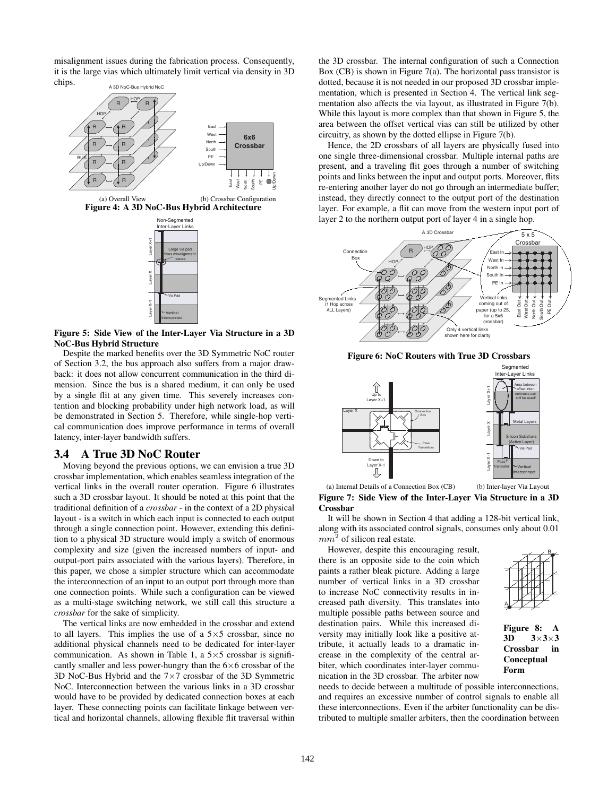misalignment issues during the fabrication process. Consequently, it is the large vias which ultimately limit vertical via density in 3D chips. A 3D NoC-Bus Hybrid NoC





**Figure 5: Side View of the Inter-Layer Via Structure in a 3D NoC-Bus Hybrid Structure**

Despite the marked benefits over the 3D Symmetric NoC router of Section 3.2, the bus approach also suffers from a major drawback: it does not allow concurrent communication in the third dimension. Since the bus is a shared medium, it can only be used by a single flit at any given time. This severely increases contention and blocking probability under high network load, as will be demonstrated in Section 5. Therefore, while single-hop vertical communication does improve performance in terms of overall latency, inter-layer bandwidth suffers.

## **3.4 A True 3D NoC Router**

Moving beyond the previous options, we can envision a true 3D crossbar implementation, which enables seamless integration of the vertical links in the overall router operation. Figure 6 illustrates such a 3D crossbar layout. It should be noted at this point that the traditional definition of a *crossbar* - in the context of a 2D physical layout - is a switch in which each input is connected to each output through a single connection point. However, extending this definition to a physical 3D structure would imply a switch of enormous complexity and size (given the increased numbers of input- and output-port pairs associated with the various layers). Therefore, in this paper, we chose a simpler structure which can accommodate the interconnection of an input to an output port through more than one connection points. While such a configuration can be viewed as a multi-stage switching network, we still call this structure a *crossbar* for the sake of simplicity.

The vertical links are now embedded in the crossbar and extend to all layers. This implies the use of a  $5\times 5$  crossbar, since no additional physical channels need to be dedicated for inter-layer communication. As shown in Table 1, a  $5 \times 5$  crossbar is significantly smaller and less power-hungry than the  $6\times 6$  crossbar of the 3D NoC-Bus Hybrid and the  $7\times7$  crossbar of the 3D Symmetric NoC. Interconnection between the various links in a 3D crossbar would have to be provided by dedicated connection boxes at each layer. These connecting points can facilitate linkage between vertical and horizontal channels, allowing flexible flit traversal within the 3D crossbar. The internal configuration of such a Connection Box  $(CB)$  is shown in Figure 7(a). The horizontal pass transistor is dotted, because it is not needed in our proposed 3D crossbar implementation, which is presented in Section 4. The vertical link segmentation also affects the via layout, as illustrated in Figure 7(b). While this layout is more complex than that shown in Figure 5, the area between the offset vertical vias can still be utilized by other circuitry, as shown by the dotted ellipse in Figure 7(b).

Hence, the 2D crossbars of all layers are physically fused into one single three-dimensional crossbar. Multiple internal paths are present, and a traveling flit goes through a number of switching points and links between the input and output ports. Moreover, flits re-entering another layer do not go through an intermediate buffer; instead, they directly connect to the output port of the destination layer. For example, a flit can move from the western input port of layer 2 to the northern output port of layer 4 in a single hop.



**Figure 6: NoC Routers with True 3D Crossbars**



(a) Internal Details of a Connection Box (CB) (b) Inter-layer Via Layout **Figure 7: Side View of the Inter-Layer Via Structure in a 3D Crossbar**

It will be shown in Section 4 that adding a 128-bit vertical link, along with its associated control signals, consumes only about 0.01  $mm<sup>2</sup>$  of silicon real estate.

However, despite this encouraging result, there is an opposite side to the coin which paints a rather bleak picture. Adding a large number of vertical links in a 3D crossbar to increase NoC connectivity results in increased path diversity. This translates into multiple possible paths between source and destination pairs. While this increased diversity may initially look like a positive attribute, it actually leads to a dramatic increase in the complexity of the central arbiter, which coordinates inter-layer communication in the 3D crossbar. The arbiter now



**Figure 8: A 3D 3**×**3**×**3 Crossbar in Conceptual Form**

needs to decide between a multitude of possible interconnections, and requires an excessive number of control signals to enable all these interconnections. Even if the arbiter functionality can be distributed to multiple smaller arbiters, then the coordination between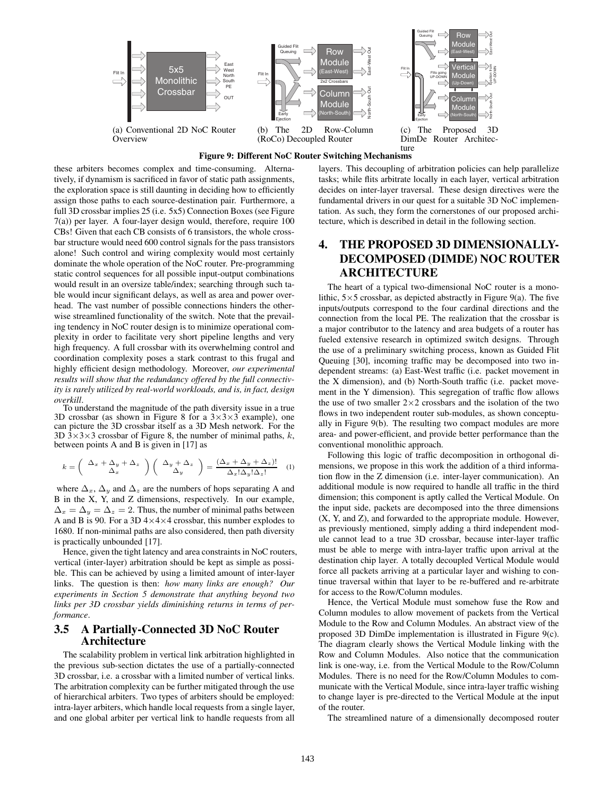

**Figure 9: Different NoC Router Switching Mechanisms**

these arbiters becomes complex and time-consuming. Alternatively, if dynamism is sacrificed in favor of static path assignments, the exploration space is still daunting in deciding how to efficiently assign those paths to each source-destination pair. Furthermore, a full 3D crossbar implies 25 (i.e. 5x5) Connection Boxes (see Figure 7(a)) per layer. A four-layer design would, therefore, require 100 CBs! Given that each CB consists of 6 transistors, the whole crossbar structure would need 600 control signals for the pass transistors alone! Such control and wiring complexity would most certainly dominate the whole operation of the NoC router. Pre-programming static control sequences for all possible input-output combinations would result in an oversize table/index; searching through such table would incur significant delays, as well as area and power overhead. The vast number of possible connections hinders the otherwise streamlined functionality of the switch. Note that the prevailing tendency in NoC router design is to minimize operational complexity in order to facilitate very short pipeline lengths and very high frequency. A full crossbar with its overwhelming control and coordination complexity poses a stark contrast to this frugal and highly efficient design methodology. Moreover, *our experimental results will show that the redundancy offered by the full connectivity is rarely utilized by real-world workloads, and is, in fact, design*

*overkill*. To understand the magnitude of the path diversity issue in a true 3D crossbar (as shown in Figure 8 for a  $3 \times 3 \times 3$  example), one can picture the 3D crossbar itself as a 3D Mesh network. For the 3D  $3 \times 3 \times 3$  crossbar of Figure 8, the number of minimal paths,  $k$ , between points A and B is given in [17] as

$$
k = \begin{pmatrix} \Delta_x + \Delta_y + \Delta_z \\ \Delta_x \end{pmatrix} \begin{pmatrix} \Delta_y + \Delta_z \\ \Delta_y \end{pmatrix} = \frac{(\Delta_x + \Delta_y + \Delta_z)!}{\Delta_x! \Delta_y! \Delta_z!} \quad (1)
$$

where  $\Delta_x$ ,  $\Delta_y$  and  $\Delta_z$  are the numbers of hops separating A and B in the X, Y, and Z dimensions, respectively. In our example,  $\Delta_x = \Delta_y = \Delta_z = 2$ . Thus, the number of minimal paths between A and B is 90. For a 3D  $4 \times 4 \times 4$  crossbar, this number explodes to 1680. If non-minimal paths are also considered, then path diversity is practically unbounded [17].

Hence, given the tight latency and area constraints in NoC routers, vertical (inter-layer) arbitration should be kept as simple as possible. This can be achieved by using a limited amount of inter-layer links. The question is then: *how many links are enough? Our experiments in Section 5 demonstrate that anything beyond two links per 3D crossbar yields diminishing returns in terms of performance*.

## **3.5 A Partially-Connected 3D NoC Router Architecture**

The scalability problem in vertical link arbitration highlighted in the previous sub-section dictates the use of a partially-connected 3D crossbar, i.e. a crossbar with a limited number of vertical links. The arbitration complexity can be further mitigated through the use of hierarchical arbiters. Two types of arbiters should be employed: intra-layer arbiters, which handle local requests from a single layer, and one global arbiter per vertical link to handle requests from all layers. This decoupling of arbitration policies can help parallelize tasks; while flits arbitrate locally in each layer, vertical arbitration decides on inter-layer traversal. These design directives were the fundamental drivers in our quest for a suitable 3D NoC implementation. As such, they form the cornerstones of our proposed architecture, which is described in detail in the following section.

## **4. THE PROPOSED 3D DIMENSIONALLY-DECOMPOSED (DIMDE) NOC ROUTER ARCHITECTURE**

The heart of a typical two-dimensional NoC router is a monolithic,  $5 \times 5$  crossbar, as depicted abstractly in Figure 9(a). The five inputs/outputs correspond to the four cardinal directions and the connection from the local PE. The realization that the crossbar is a major contributor to the latency and area budgets of a router has fueled extensive research in optimized switch designs. Through the use of a preliminary switching process, known as Guided Flit Queuing [30], incoming traffic may be decomposed into two independent streams: (a) East-West traffic (i.e. packet movement in the X dimension), and (b) North-South traffic (i.e. packet movement in the Y dimension). This segregation of traffic flow allows the use of two smaller  $2\times 2$  crossbars and the isolation of the two flows in two independent router sub-modules, as shown conceptually in Figure 9(b). The resulting two compact modules are more area- and power-efficient, and provide better performance than the conventional monolithic approach.

Following this logic of traffic decomposition in orthogonal dimensions, we propose in this work the addition of a third information flow in the Z dimension (i.e. inter-layer communication). An additional module is now required to handle all traffic in the third dimension; this component is aptly called the Vertical Module. On the input side, packets are decomposed into the three dimensions (X, Y, and Z), and forwarded to the appropriate module. However, as previously mentioned, simply adding a third independent module cannot lead to a true 3D crossbar, because inter-layer traffic must be able to merge with intra-layer traffic upon arrival at the destination chip layer. A totally decoupled Vertical Module would force all packets arriving at a particular layer and wishing to continue traversal within that layer to be re-buffered and re-arbitrate for access to the Row/Column modules.

Hence, the Vertical Module must somehow fuse the Row and Column modules to allow movement of packets from the Vertical Module to the Row and Column Modules. An abstract view of the proposed 3D DimDe implementation is illustrated in Figure 9(c). The diagram clearly shows the Vertical Module linking with the Row and Column Modules. Also notice that the communication link is one-way, i.e. from the Vertical Module to the Row/Column Modules. There is no need for the Row/Column Modules to communicate with the Vertical Module, since intra-layer traffic wishing to change layer is pre-directed to the Vertical Module at the input of the router.

The streamlined nature of a dimensionally decomposed router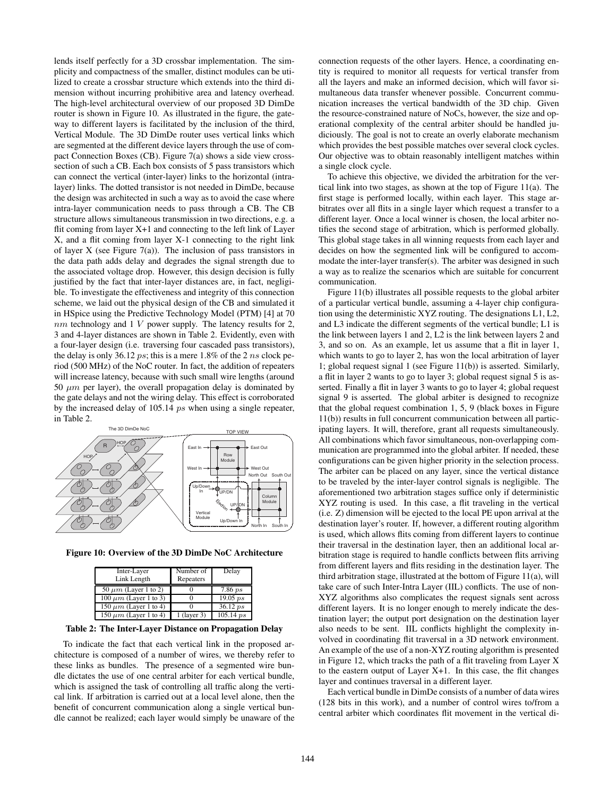lends itself perfectly for a 3D crossbar implementation. The simplicity and compactness of the smaller, distinct modules can be utilized to create a crossbar structure which extends into the third dimension without incurring prohibitive area and latency overhead. The high-level architectural overview of our proposed 3D DimDe router is shown in Figure 10. As illustrated in the figure, the gateway to different layers is facilitated by the inclusion of the third, Vertical Module. The 3D DimDe router uses vertical links which are segmented at the different device layers through the use of compact Connection Boxes (CB). Figure 7(a) shows a side view crosssection of such a CB. Each box consists of 5 pass transistors which can connect the vertical (inter-layer) links to the horizontal (intralayer) links. The dotted transistor is not needed in DimDe, because the design was architected in such a way as to avoid the case where intra-layer communication needs to pass through a CB. The CB structure allows simultaneous transmission in two directions, e.g. a flit coming from layer X+1 and connecting to the left link of Layer X, and a flit coming from layer X-1 connecting to the right link of layer  $X$  (see Figure 7(a)). The inclusion of pass transistors in the data path adds delay and degrades the signal strength due to the associated voltage drop. However, this design decision is fully justified by the fact that inter-layer distances are, in fact, negligible. To investigate the effectiveness and integrity of this connection scheme, we laid out the physical design of the CB and simulated it in HSpice using the Predictive Technology Model (PTM) [4] at 70 *nm* technology and 1 *V* power supply. The latency results for 2, 3 and 4-layer distances are shown in Table 2. Evidently, even with a four-layer design (i.e. traversing four cascaded pass transistors), the delay is only 36.12 *ps*; this is a mere 1.8% of the 2 *ns* clock period (500 MHz) of the NoC router. In fact, the addition of repeaters will increase latency, because with such small wire lengths (around 50  $\mu$ m per layer), the overall propagation delay is dominated by the gate delays and not the wiring delay. This effect is corroborated by the increased delay of 105.14 *ps* when using a single repeater, in Table 2.



**Figure 10: Overview of the 3D DimDe NoC Architecture**

| Inter-Layer<br>Link Length | Number of<br>Repeaters | Delay     |
|----------------------------|------------------------|-----------|
| 50 $\mu$ m (Layer 1 to 2)  |                        | 7.86 ps   |
| 100 $\mu$ m (Layer 1 to 3) |                        | 19.05 ps  |
| 150 $\mu$ m (Layer 1 to 4) |                        | 36.12 ps  |
| 150 $\mu$ m (Layer 1 to 4) | $1$ (layer 3)          | 105.14 ps |

**Table 2: The Inter-Layer Distance on Propagation Delay**

To indicate the fact that each vertical link in the proposed architecture is composed of a number of wires, we thereby refer to these links as bundles. The presence of a segmented wire bundle dictates the use of one central arbiter for each vertical bundle, which is assigned the task of controlling all traffic along the vertical link. If arbitration is carried out at a local level alone, then the benefit of concurrent communication along a single vertical bundle cannot be realized; each layer would simply be unaware of the connection requests of the other layers. Hence, a coordinating entity is required to monitor all requests for vertical transfer from all the layers and make an informed decision, which will favor simultaneous data transfer whenever possible. Concurrent communication increases the vertical bandwidth of the 3D chip. Given the resource-constrained nature of NoCs, however, the size and operational complexity of the central arbiter should be handled judiciously. The goal is not to create an overly elaborate mechanism which provides the best possible matches over several clock cycles. Our objective was to obtain reasonably intelligent matches within a single clock cycle.

To achieve this objective, we divided the arbitration for the vertical link into two stages, as shown at the top of Figure 11(a). The first stage is performed locally, within each layer. This stage arbitrates over all flits in a single layer which request a transfer to a different layer. Once a local winner is chosen, the local arbiter notifies the second stage of arbitration, which is performed globally. This global stage takes in all winning requests from each layer and decides on how the segmented link will be configured to accommodate the inter-layer transfer(s). The arbiter was designed in such a way as to realize the scenarios which are suitable for concurrent communication.

Figure 11(b) illustrates all possible requests to the global arbiter of a particular vertical bundle, assuming a 4-layer chip configuration using the deterministic XYZ routing. The designations L1, L2, and L3 indicate the different segments of the vertical bundle; L1 is the link between layers 1 and 2, L2 is the link between layers 2 and 3, and so on. As an example, let us assume that a flit in layer 1, which wants to go to layer 2, has won the local arbitration of layer 1; global request signal 1 (see Figure 11(b)) is asserted. Similarly, a flit in layer 2 wants to go to layer 3; global request signal 5 is asserted. Finally a flit in layer 3 wants to go to layer 4; global request signal 9 is asserted. The global arbiter is designed to recognize that the global request combination 1, 5, 9 (black boxes in Figure 11(b)) results in full concurrent communication between all participating layers. It will, therefore, grant all requests simultaneously. All combinations which favor simultaneous, non-overlapping communication are programmed into the global arbiter. If needed, these configurations can be given higher priority in the selection process. The arbiter can be placed on any layer, since the vertical distance to be traveled by the inter-layer control signals is negligible. The aforementioned two arbitration stages suffice only if deterministic XYZ routing is used. In this case, a flit traveling in the vertical (i.e. Z) dimension will be ejected to the local PE upon arrival at the destination layer's router. If, however, a different routing algorithm is used, which allows flits coming from different layers to continue their traversal in the destination layer, then an additional local arbitration stage is required to handle conflicts between flits arriving from different layers and flits residing in the destination layer. The third arbitration stage, illustrated at the bottom of Figure 11(a), will take care of such Inter-Intra Layer (IIL) conflicts. The use of non-XYZ algorithms also complicates the request signals sent across different layers. It is no longer enough to merely indicate the destination layer; the output port designation on the destination layer also needs to be sent. IIL conflicts highlight the complexity involved in coordinating flit traversal in a 3D network environment. An example of the use of a non-XYZ routing algorithm is presented in Figure 12, which tracks the path of a flit traveling from Layer X to the eastern output of Layer X+1. In this case, the flit changes layer and continues traversal in a different layer.

Each vertical bundle in DimDe consists of a number of data wires (128 bits in this work), and a number of control wires to/from a central arbiter which coordinates flit movement in the vertical di-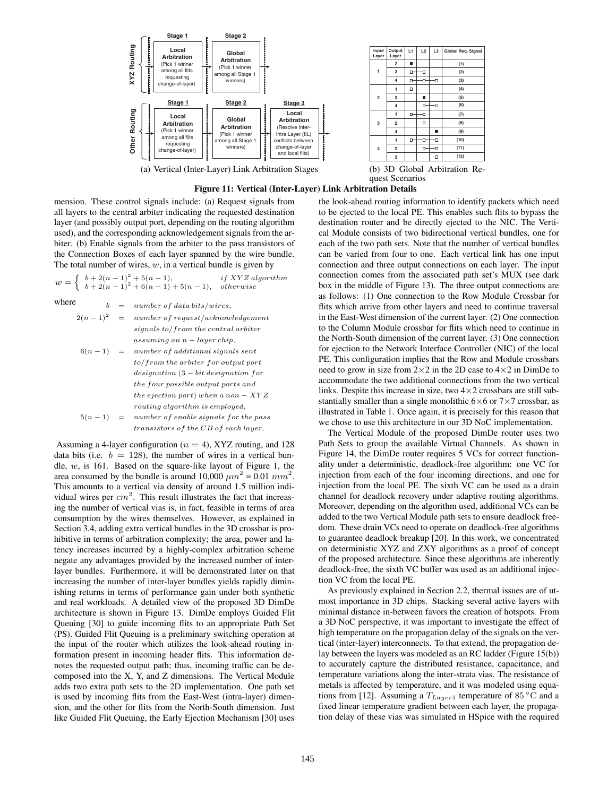



(b) 3D Global Arbitration Request Scenarios

#### **Figure 11: Vertical (Inter-Layer) Link Arbitration Details**

mension. These control signals include: (a) Request signals from all layers to the central arbiter indicating the requested destination layer (and possibly output port, depending on the routing algorithm used), and the corresponding acknowledgement signals from the arbiter. (b) Enable signals from the arbiter to the pass transistors of the Connection Boxes of each layer spanned by the wire bundle. The total number of wires, *w*, in a vertical bundle is given by

$$
w = \begin{cases} b + 2(n - 1)^2 + 5(n - 1), & if XYZ\ algorithm\\ b + 2(n - 1)^2 + 6(n - 1) + 5(n - 1), & otherwise \end{cases}
$$

$$
b = number of data bits/wires,
$$
  
\n
$$
2(n-1)^2 = number of request/acknowledgement\nsignals to/from the central arbiter\nassuming an n-layer chip,\n6(n-1) = number of additional signals sent\nto/from the arbiter for output port\ndesignation (3 - bit designation for\nthe four possible output ports and\nthe ejection port) when a non - XYZ\nrouting algorithm is employed,\n5(n-1) = number of enable signals for the pass\ntransistors of the CB of each layer.
$$

Assuming a 4-layer configuration (*n* = 4), XYZ routing, and 128 data bits (i.e.  $b = 128$ ), the number of wires in a vertical bundle, *w*, is 161. Based on the square-like layout of Figure 1, the area consumed by the bundle is around  $10,000 \ \mu m^2 = 0.01 \ mm^2$ . This amounts to a vertical via density of around 1.5 million individual wires per  $cm<sup>2</sup>$ . This result illustrates the fact that increasing the number of vertical vias is, in fact, feasible in terms of area consumption by the wires themselves. However, as explained in Section 3.4, adding extra vertical bundles in the 3D crossbar is prohibitive in terms of arbitration complexity; the area, power and latency increases incurred by a highly-complex arbitration scheme negate any advantages provided by the increased number of interlayer bundles. Furthermore, it will be demonstrated later on that increasing the number of inter-layer bundles yields rapidly diminishing returns in terms of performance gain under both synthetic and real workloads. A detailed view of the proposed 3D DimDe architecture is shown in Figure 13. DimDe employs Guided Flit Queuing [30] to guide incoming flits to an appropriate Path Set (PS). Guided Flit Queuing is a preliminary switching operation at the input of the router which utilizes the look-ahead routing information present in incoming header flits. This information denotes the requested output path; thus, incoming traffic can be decomposed into the X, Y, and Z dimensions. The Vertical Module adds two extra path sets to the 2D implementation. One path set is used by incoming flits from the East-West (intra-layer) dimension, and the other for flits from the North-South dimension. Just like Guided Flit Queuing, the Early Ejection Mechanism [30] uses

the look-ahead routing information to identify packets which need to be ejected to the local PE. This enables such flits to bypass the destination router and be directly ejected to the NIC. The Vertical Module consists of two bidirectional vertical bundles, one for each of the two path sets. Note that the number of vertical bundles can be varied from four to one. Each vertical link has one input connection and three output connections on each layer. The input connection comes from the associated path set's MUX (see dark box in the middle of Figure 13). The three output connections are as follows: (1) One connection to the Row Module Crossbar for flits which arrive from other layers and need to continue traversal in the East-West dimension of the current layer. (2) One connection to the Column Module crossbar for flits which need to continue in the North-South dimension of the current layer. (3) One connection for ejection to the Network Interface Controller (NIC) of the local PE. This configuration implies that the Row and Module crossbars need to grow in size from  $2 \times 2$  in the 2D case to  $4 \times 2$  in DimDe to accommodate the two additional connections from the two vertical links. Despite this increase in size, two  $4 \times 2$  crossbars are still substantially smaller than a single monolithic  $6\times 6$  or  $7\times 7$  crossbar, as illustrated in Table 1. Once again, it is precisely for this reason that we chose to use this architecture in our 3D NoC implementation.

The Vertical Module of the proposed DimDe router uses two Path Sets to group the available Virtual Channels. As shown in Figure 14, the DimDe router requires 5 VCs for correct functionality under a deterministic, deadlock-free algorithm: one VC for injection from each of the four incoming directions, and one for injection from the local PE. The sixth VC can be used as a drain channel for deadlock recovery under adaptive routing algorithms. Moreover, depending on the algorithm used, additional VCs can be added to the two Vertical Module path sets to ensure deadlock freedom. These drain VCs need to operate on deadlock-free algorithms to guarantee deadlock breakup [20]. In this work, we concentrated on deterministic XYZ and ZXY algorithms as a proof of concept of the proposed architecture. Since these algorithms are inherently deadlock-free, the sixth VC buffer was used as an additional injection VC from the local PE.

As previously explained in Section 2.2, thermal issues are of utmost importance in 3D chips. Stacking several active layers with minimal distance in-between favors the creation of hotspots. From a 3D NoC perspective, it was important to investigate the effect of high temperature on the propagation delay of the signals on the vertical (inter-layer) interconnects. To that extend, the propagation delay between the layers was modeled as an RC ladder (Figure 15(b)) to accurately capture the distributed resistance, capacitance, and temperature variations along the inter-strata vias. The resistance of metals is affected by temperature, and it was modeled using equations from [12]. Assuming a *TLayer*<sup>1</sup> temperature of 85 ◦C and a fixed linear temperature gradient between each layer, the propagation delay of these vias was simulated in HSpice with the required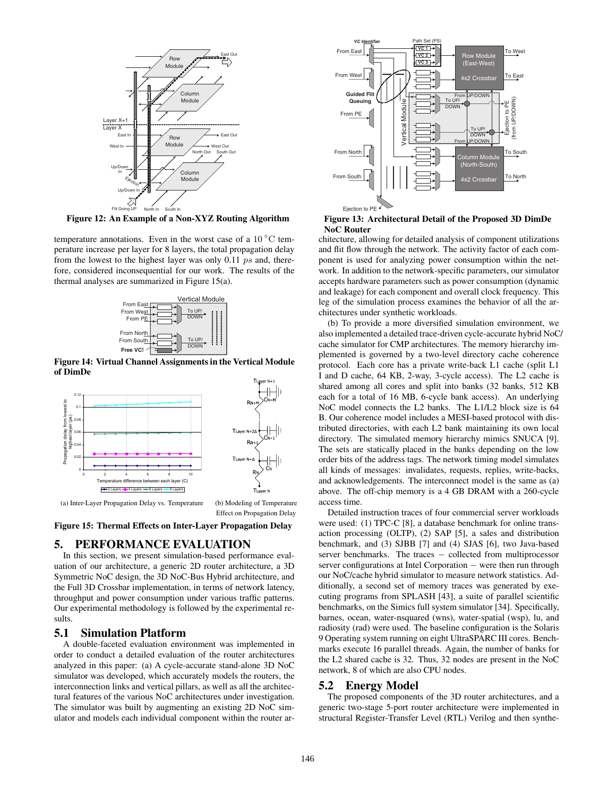

**Figure 12: An Example of a Non-XYZ Routing Algorithm**

temperature annotations. Even in the worst case of a  $10^{\circ}$ C temperature increase per layer for 8 layers, the total propagation delay from the lowest to the highest layer was only 0.11 *ps* and, therefore, considered inconsequential for our work. The results of the thermal analyses are summarized in Figure 15(a).



**Figure 14: Virtual Channel Assignments in the Vertical Module of DimDe**



(a) Inter-Layer Propagation Delay vs. Temperature (b) Modeling of Temperature

## Effect on Propagation Delay

#### **Figure 15: Thermal Effects on Inter-Layer Propagation Delay**

#### **5. PERFORMANCE EVALUATION**

In this section, we present simulation-based performance evaluation of our architecture, a generic 2D router architecture, a 3D Symmetric NoC design, the 3D NoC-Bus Hybrid architecture, and the Full 3D Crossbar implementation, in terms of network latency, throughput and power consumption under various traffic patterns. Our experimental methodology is followed by the experimental results.

#### **5.1 Simulation Platform**

A double-faceted evaluation environment was implemented in order to conduct a detailed evaluation of the router architectures analyzed in this paper: (a) A cycle-accurate stand-alone 3D NoC simulator was developed, which accurately models the routers, the interconnection links and vertical pillars, as well as all the architectural features of the various NoC architectures under investigation. The simulator was built by augmenting an existing 2D NoC simulator and models each individual component within the router ar-



**Figure 13: Architectural Detail of the Proposed 3D DimDe NoC Router**

chitecture, allowing for detailed analysis of component utilizations and flit flow through the network. The activity factor of each component is used for analyzing power consumption within the network. In addition to the network-specific parameters, our simulator accepts hardware parameters such as power consumption (dynamic and leakage) for each component and overall clock frequency. This leg of the simulation process examines the behavior of all the architectures under synthetic workloads.

(b) To provide a more diversified simulation environment, we also implemented a detailed trace-driven cycle-accurate hybrid NoC/ cache simulator for CMP architectures. The memory hierarchy implemented is governed by a two-level directory cache coherence protocol. Each core has a private write-back L1 cache (split L1 I and D cache, 64 KB, 2-way, 3-cycle access). The L2 cache is shared among all cores and split into banks (32 banks, 512 KB each for a total of 16 MB, 6-cycle bank access). An underlying NoC model connects the L2 banks. The L1/L2 block size is 64 B. Our coherence model includes a MESI-based protocol with distributed directories, with each L2 bank maintaining its own local directory. The simulated memory hierarchy mimics SNUCA [9]. The sets are statically placed in the banks depending on the low order bits of the address tags. The network timing model simulates all kinds of messages: invalidates, requests, replies, write-backs, and acknowledgements. The interconnect model is the same as (a) above. The off-chip memory is a 4 GB DRAM with a 260-cycle access time.

Detailed instruction traces of four commercial server workloads were used: (1) TPC-C [8], a database benchmark for online transaction processing (OLTP), (2) SAP [5], a sales and distribution benchmark, and (3) SJBB [7] and (4) SJAS [6], two Java-based server benchmarks. The traces – collected from multiprocessor server configurations at Intel Corporation − were then run through our NoC/cache hybrid simulator to measure network statistics. Additionally, a second set of memory traces was generated by executing programs from SPLASH [43], a suite of parallel scientific benchmarks, on the Simics full system simulator [34]. Specifically, barnes, ocean, water-nsquared (wns), water-spatial (wsp), lu, and radiosity (rad) were used. The baseline configuration is the Solaris 9 Operating system running on eight UltraSPARC III cores. Benchmarks execute 16 parallel threads. Again, the number of banks for the L2 shared cache is 32. Thus, 32 nodes are present in the NoC network, 8 of which are also CPU nodes.

#### **5.2 Energy Model**

The proposed components of the 3D router architectures, and a generic two-stage 5-port router architecture were implemented in structural Register-Transfer Level (RTL) Verilog and then synthe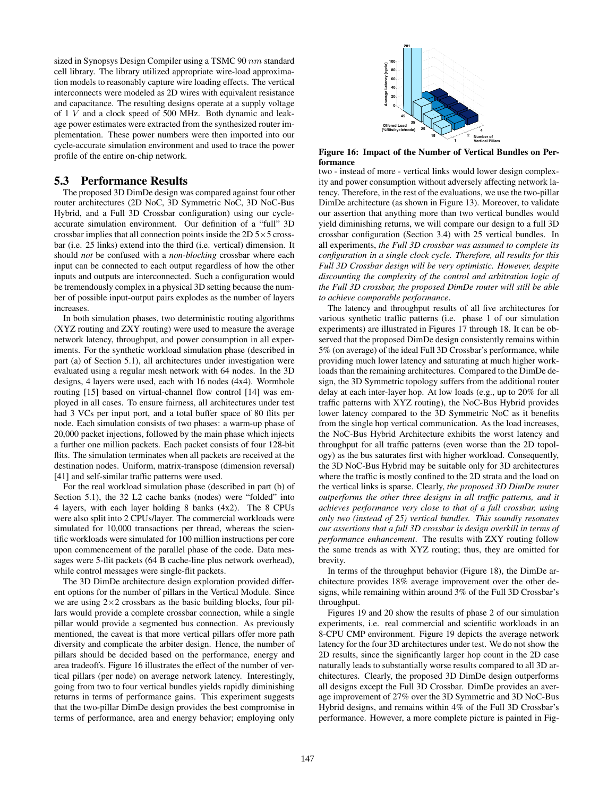sized in Synopsys Design Compiler using a TSMC 90 *nm* standard cell library. The library utilized appropriate wire-load approximation models to reasonably capture wire loading effects. The vertical interconnects were modeled as 2D wires with equivalent resistance and capacitance. The resulting designs operate at a supply voltage of 1 *V* and a clock speed of 500 MHz. Both dynamic and leakage power estimates were extracted from the synthesized router implementation. These power numbers were then imported into our cycle-accurate simulation environment and used to trace the power profile of the entire on-chip network.

## **5.3 Performance Results**

The proposed 3D DimDe design was compared against four other router architectures (2D NoC, 3D Symmetric NoC, 3D NoC-Bus Hybrid, and a Full 3D Crossbar configuration) using our cycleaccurate simulation environment. Our definition of a "full" 3D crossbar implies that all connection points inside the 2D  $5\times5$  crossbar (i.e. 25 links) extend into the third (i.e. vertical) dimension. It should *not* be confused with a *non-blocking* crossbar where each input can be connected to each output regardless of how the other inputs and outputs are interconnected. Such a configuration would be tremendously complex in a physical 3D setting because the number of possible input-output pairs explodes as the number of layers increases.

In both simulation phases, two deterministic routing algorithms (XYZ routing and ZXY routing) were used to measure the average network latency, throughput, and power consumption in all experiments. For the synthetic workload simulation phase (described in part (a) of Section 5.1), all architectures under investigation were evaluated using a regular mesh network with 64 nodes. In the 3D designs, 4 layers were used, each with 16 nodes (4x4). Wormhole routing [15] based on virtual-channel flow control [14] was employed in all cases. To ensure fairness, all architectures under test had 3 VCs per input port, and a total buffer space of 80 flits per node. Each simulation consists of two phases: a warm-up phase of 20,000 packet injections, followed by the main phase which injects a further one million packets. Each packet consists of four 128-bit flits. The simulation terminates when all packets are received at the destination nodes. Uniform, matrix-transpose (dimension reversal) [41] and self-similar traffic patterns were used.

For the real workload simulation phase (described in part (b) of Section 5.1), the 32 L2 cache banks (nodes) were "folded" into 4 layers, with each layer holding 8 banks (4x2). The 8 CPUs were also split into 2 CPUs/layer. The commercial workloads were simulated for 10,000 transactions per thread, whereas the scientific workloads were simulated for 100 million instructions per core upon commencement of the parallel phase of the code. Data messages were 5-flit packets (64 B cache-line plus network overhead), while control messages were single-flit packets.

The 3D DimDe architecture design exploration provided different options for the number of pillars in the Vertical Module. Since we are using  $2\times 2$  crossbars as the basic building blocks, four pillars would provide a complete crossbar connection, while a single pillar would provide a segmented bus connection. As previously mentioned, the caveat is that more vertical pillars offer more path diversity and complicate the arbiter design. Hence, the number of pillars should be decided based on the performance, energy and area tradeoffs. Figure 16 illustrates the effect of the number of vertical pillars (per node) on average network latency. Interestingly, going from two to four vertical bundles yields rapidly diminishing returns in terms of performance gains. This experiment suggests that the two-pillar DimDe design provides the best compromise in terms of performance, area and energy behavior; employing only



**Figure 16: Impact of the Number of Vertical Bundles on Performance**

two - instead of more - vertical links would lower design complexity and power consumption without adversely affecting network latency. Therefore, in the rest of the evaluations, we use the two-pillar DimDe architecture (as shown in Figure 13). Moreover, to validate our assertion that anything more than two vertical bundles would yield diminishing returns, we will compare our design to a full 3D crossbar configuration (Section 3.4) with 25 vertical bundles. In all experiments, *the Full 3D crossbar was assumed to complete its configuration in a single clock cycle. Therefore, all results for this Full 3D Crossbar design will be very optimistic. However, despite discounting the complexity of the control and arbitration logic of the Full 3D crossbar, the proposed DimDe router will still be able to achieve comparable performance*.

The latency and throughput results of all five architectures for various synthetic traffic patterns (i.e. phase 1 of our simulation experiments) are illustrated in Figures 17 through 18. It can be observed that the proposed DimDe design consistently remains within 5% (on average) of the ideal Full 3D Crossbar's performance, while providing much lower latency and saturating at much higher workloads than the remaining architectures. Compared to the DimDe design, the 3D Symmetric topology suffers from the additional router delay at each inter-layer hop. At low loads (e.g., up to 20% for all traffic patterns with XYZ routing), the NoC-Bus Hybrid provides lower latency compared to the 3D Symmetric NoC as it benefits from the single hop vertical communication. As the load increases, the NoC-Bus Hybrid Architecture exhibits the worst latency and throughput for all traffic patterns (even worse than the 2D topology) as the bus saturates first with higher workload. Consequently, the 3D NoC-Bus Hybrid may be suitable only for 3D architectures where the traffic is mostly confined to the 2D strata and the load on the vertical links is sparse. Clearly, *the proposed 3D DimDe router outperforms the other three designs in all traffic patterns, and it achieves performance very close to that of a full crossbar, using only two (instead of 25) vertical bundles. This soundly resonates our assertions that a full 3D crossbar is design overkill in terms of performance enhancement*. The results with ZXY routing follow the same trends as with XYZ routing; thus, they are omitted for brevity.

In terms of the throughput behavior (Figure 18), the DimDe architecture provides 18% average improvement over the other designs, while remaining within around 3% of the Full 3D Crossbar's throughput.

Figures 19 and 20 show the results of phase 2 of our simulation experiments, i.e. real commercial and scientific workloads in an 8-CPU CMP environment. Figure 19 depicts the average network latency for the four 3D architectures under test. We do not show the 2D results, since the significantly larger hop count in the 2D case naturally leads to substantially worse results compared to all 3D architectures. Clearly, the proposed 3D DimDe design outperforms all designs except the Full 3D Crossbar. DimDe provides an average improvement of 27% over the 3D Symmetric and 3D NoC-Bus Hybrid designs, and remains within 4% of the Full 3D Crossbar's performance. However, a more complete picture is painted in Fig-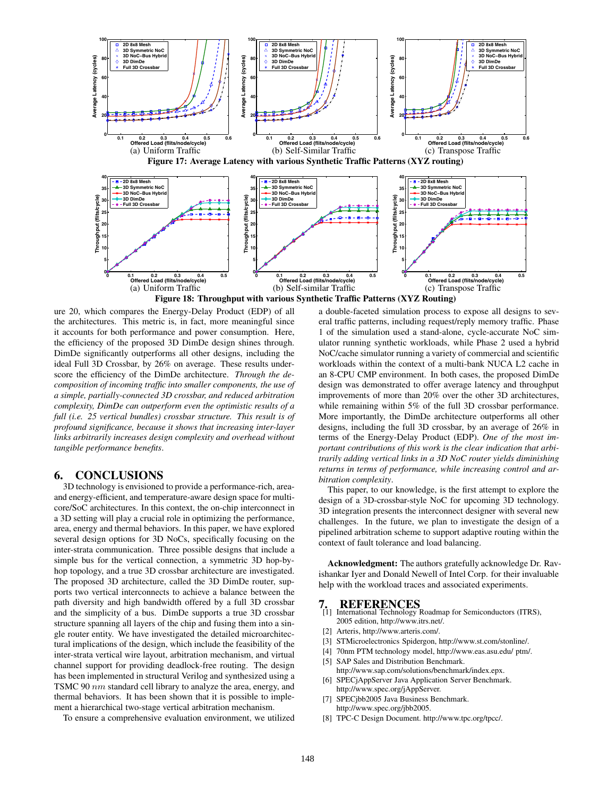

ure 20, which compares the Energy-Delay Product (EDP) of all the architectures. This metric is, in fact, more meaningful since it accounts for both performance and power consumption. Here, the efficiency of the proposed 3D DimDe design shines through. DimDe significantly outperforms all other designs, including the ideal Full 3D Crossbar, by 26% on average. These results underscore the efficiency of the DimDe architecture. *Through the decomposition of incoming traffic into smaller components, the use of a simple, partially-connected 3D crossbar, and reduced arbitration complexity, DimDe can outperform even the optimistic results of a full (i.e. 25 vertical bundles) crossbar structure. This result is of profound significance, because it shows that increasing inter-layer links arbitrarily increases design complexity and overhead without tangible performance benefits*.

## **6. CONCLUSIONS**

3D technology is envisioned to provide a performance-rich, areaand energy-efficient, and temperature-aware design space for multicore/SoC architectures. In this context, the on-chip interconnect in a 3D setting will play a crucial role in optimizing the performance, area, energy and thermal behaviors. In this paper, we have explored several design options for 3D NoCs, specifically focusing on the inter-strata communication. Three possible designs that include a simple bus for the vertical connection, a symmetric 3D hop-byhop topology, and a true 3D crossbar architecture are investigated. The proposed 3D architecture, called the 3D DimDe router, supports two vertical interconnects to achieve a balance between the path diversity and high bandwidth offered by a full 3D crossbar and the simplicity of a bus. DimDe supports a true 3D crossbar structure spanning all layers of the chip and fusing them into a single router entity. We have investigated the detailed microarchitectural implications of the design, which include the feasibility of the inter-strata vertical wire layout, arbitration mechanism, and virtual channel support for providing deadlock-free routing. The design has been implemented in structural Verilog and synthesized using a TSMC 90 *nm* standard cell library to analyze the area, energy, and thermal behaviors. It has been shown that it is possible to implement a hierarchical two-stage vertical arbitration mechanism.

To ensure a comprehensive evaluation environment, we utilized

a double-faceted simulation process to expose all designs to several traffic patterns, including request/reply memory traffic. Phase 1 of the simulation used a stand-alone, cycle-accurate NoC simulator running synthetic workloads, while Phase 2 used a hybrid NoC/cache simulator running a variety of commercial and scientific workloads within the context of a multi-bank NUCA L2 cache in an 8-CPU CMP environment. In both cases, the proposed DimDe design was demonstrated to offer average latency and throughput improvements of more than 20% over the other 3D architectures, while remaining within 5% of the full 3D crossbar performance. More importantly, the DimDe architecture outperforms all other designs, including the full 3D crossbar, by an average of 26% in terms of the Energy-Delay Product (EDP). *One of the most important contributions of this work is the clear indication that arbitrarily adding vertical links in a 3D NoC router yields diminishing returns in terms of performance, while increasing control and arbitration complexity*.

This paper, to our knowledge, is the first attempt to explore the design of a 3D-crossbar-style NoC for upcoming 3D technology. 3D integration presents the interconnect designer with several new challenges. In the future, we plan to investigate the design of a pipelined arbitration scheme to support adaptive routing within the context of fault tolerance and load balancing.

**Acknowledgment:** The authors gratefully acknowledge Dr. Ravishankar Iyer and Donald Newell of Intel Corp. for their invaluable help with the workload traces and associated experiments.

## **7.** REFERENCES

- International Technology Roadmap for Semiconductors (ITRS), 2005 edition, http://www.itrs.net/.
- [2] Arteris, http://www.arteris.com/.
- [3] STMicroelectronics Spidergon, http://www.st.com/stonline/.
- [4] 70nm PTM technology model, http://www.eas.asu.edu/ ptm/.
- [5] SAP Sales and Distribution Benchmark. http://www.sap.com/solutions/benchmark/index.epx.
- [6] SPECjAppServer Java Application Server Benchmark. http://www.spec.org/jAppServer.
- [7] SPECjbb2005 Java Business Benchmark. http://www.spec.org/jbb2005.
- [8] TPC-C Design Document. http://www.tpc.org/tpcc/.